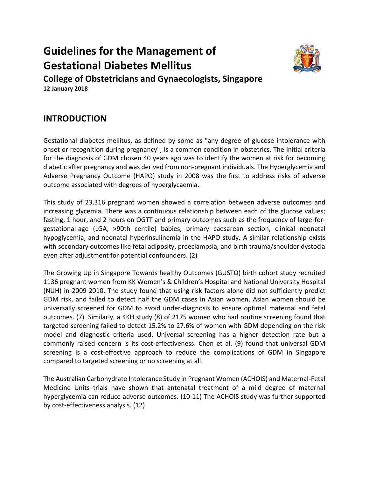# **Guidelines for the Management of Gestational Diabetes Mellitus College of Obstetricians and Gynaecologists, Singapore**



**12 January 2018**

# **INTRODUCTION**

Gestational diabetes mellitus, as defined by some as "any degree of glucose intolerance with onset or recognition during pregnancy", is a common condition in obstetrics. The initial criteria for the diagnosis of GDM chosen 40 years ago was to identify the women at risk for becoming diabetic after pregnancy and was derived from non-pregnant individuals. The Hyperglycemia and Adverse Pregnancy Outcome (HAPO) study in 2008 was the first to address risks of adverse outcome associated with degrees of hyperglycaemia.

This study of 23,316 pregnant women showed a correlation between adverse outcomes and increasing glycemia. There was a continuous relationship between each of the glucose values; fasting, 1 hour, and 2 hours on OGTT and primary outcomes such as the frequency of large-forgestational-age (LGA, >90th centile) babies, primary caesarean section, clinical neonatal hypoglycemia, and neonatal hyperinsulinemia in the HAPO study. A similar relationship exists with secondary outcomes like fetal adiposity, preeclampsia, and birth trauma/shoulder dystocia even after adjustment for potential confounders. (2)

The Growing Up in Singapore Towards healthy Outcomes (GUSTO) birth cohort study recruited 1136 pregnant women from KK Women's & Children's Hospital and National University Hospital (NUH) in 2009-2010. The study found that using risk factors alone did not sufficiently predict GDM risk, and failed to detect half the GDM cases in Asian women. Asian women should be universally screened for GDM to avoid under-diagnosis to ensure optimal maternal and fetal outcomes. (7) Similarly, a KKH study (8) of 2175 women who had routine screening found that targeted screening failed to detect 15.2% to 27.6% of women with GDM depending on the risk model and diagnostic criteria used. Universal screening has a higher detection rate but a commonly raised concern is its cost-effectiveness. Chen et al. (9) found that universal GDM screening is a cost-effective approach to reduce the complications of GDM in Singapore compared to targeted screening or no screening at all.

The Australian Carbohydrate Intolerance Study in Pregnant Women (ACHOIS) and Maternal-Fetal Medicine Units trials have shown that antenatal treatment of a mild degree of maternal hyperglycemia can reduce adverse outcomes. (10-11) The ACHOIS study was further supported by cost-effectiveness analysis. (12)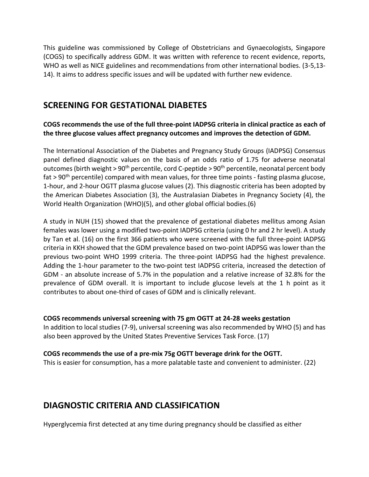This guideline was commissioned by College of Obstetricians and Gynaecologists, Singapore (COGS) to specifically address GDM. It was written with reference to recent evidence, reports, WHO as well as NICE guidelines and recommendations from other international bodies. (3-5,13- 14). It aims to address specific issues and will be updated with further new evidence.

### **SCREENING FOR GESTATIONAL DIABETES**

### **COGS recommends the use of the full three-point IADPSG criteria in clinical practice as each of the three glucose values affect pregnancy outcomes and improves the detection of GDM.**

The International Association of the Diabetes and Pregnancy Study Groups (IADPSG) Consensus panel defined diagnostic values on the basis of an odds ratio of 1.75 for adverse neonatal outcomes (birth weight > 90<sup>th</sup> percentile, cord C-peptide > 90<sup>th</sup> percentile, neonatal percent body fat  $> 90<sup>th</sup>$  percentile) compared with mean values, for three time points - fasting plasma glucose, 1-hour, and 2-hour OGTT plasma glucose values (2). This diagnostic criteria has been adopted by the American Diabetes Association (3), the Australasian Diabetes in Pregnancy Society (4), the World Health Organization (WHO)(5), and other global official bodies.(6)

A study in NUH (15) showed that the prevalence of gestational diabetes mellitus among Asian females was lower using a modified two-point IADPSG criteria (using 0 hr and 2 hr level). A study by Tan et al. (16) on the first 366 patients who were screened with the full three-point IADPSG criteria in KKH showed that the GDM prevalence based on two-point IADPSG was lower than the previous two-point WHO 1999 criteria. The three-point IADPSG had the highest prevalence. Adding the 1-hour parameter to the two-point test IADPSG criteria, increased the detection of GDM - an absolute increase of 5.7% in the population and a relative increase of 32.8% for the prevalence of GDM overall. It is important to include glucose levels at the 1 h point as it contributes to about one-third of cases of GDM and is clinically relevant.

### **COGS recommends universal screening with 75 gm OGTT at 24-28 weeks gestation**

In addition to local studies (7-9), universal screening was also recommended by WHO (5) and has also been approved by the United States Preventive Services Task Force. (17)

### **COGS recommends the use of a pre-mix 75g OGTT beverage drink for the OGTT.**

This is easier for consumption, has a more palatable taste and convenient to administer. (22)

# **DIAGNOSTIC CRITERIA AND CLASSIFICATION**

Hyperglycemia first detected at any time during pregnancy should be classified as either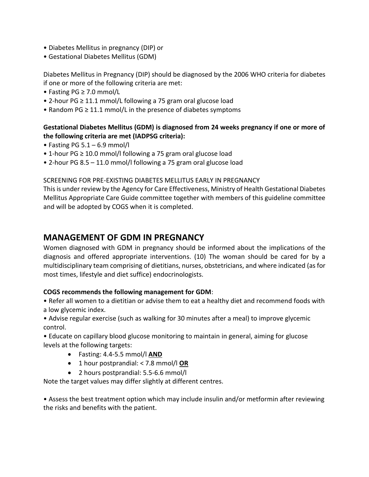- Diabetes Mellitus in pregnancy (DIP) or
- Gestational Diabetes Mellitus (GDM)

Diabetes Mellitus in Pregnancy (DIP) should be diagnosed by the 2006 WHO criteria for diabetes if one or more of the following criteria are met:

- Fasting PG ≥ 7.0 mmol/L
- 2-hour PG ≥ 11.1 mmol/L following a 75 gram oral glucose load
- Random PG ≥ 11.1 mmol/L in the presence of diabetes symptoms

### **Gestational Diabetes Mellitus (GDM) is diagnosed from 24 weeks pregnancy if one or more of the following criteria are met (IADPSG criteria):**

- Fasting PG  $5.1 6.9$  mmol/l
- 1-hour PG ≥ 10.0 mmol/l following a 75 gram oral glucose load
- 2-hour PG 8.5 11.0 mmol/l following a 75 gram oral glucose load

### SCREENING FOR PRE-EXISTING DIABETES MELLITUS EARLY IN PREGNANCY

This is under review by the Agency for Care Effectiveness, Ministry of Health Gestational Diabetes Mellitus Appropriate Care Guide committee together with members of this guideline committee and will be adopted by COGS when it is completed.

# **MANAGEMENT OF GDM IN PREGNANCY**

Women diagnosed with GDM in pregnancy should be informed about the implications of the diagnosis and offered appropriate interventions. (10) The woman should be cared for by a multidisciplinary team comprising of dietitians, nurses, obstetricians, and where indicated (as for most times, lifestyle and diet suffice) endocrinologists.

### **COGS recommends the following management for GDM**:

• Refer all women to a dietitian or advise them to eat a healthy diet and recommend foods with a low glycemic index.

• Advise regular exercise (such as walking for 30 minutes after a meal) to improve glycemic control.

• Educate on capillary blood glucose monitoring to maintain in general, aiming for glucose levels at the following targets:

- Fasting: 4.4-5.5 mmol/l **AND**
- 1 hour postprandial: < 7.8 mmol/l **OR**
- 2 hours postprandial: 5.5-6.6 mmol/l

Note the target values may differ slightly at different centres.

• Assess the best treatment option which may include insulin and/or metformin after reviewing the risks and benefits with the patient.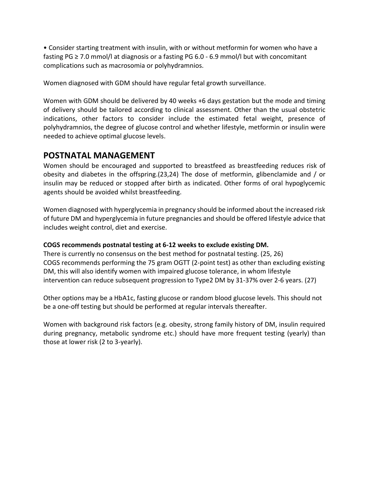• Consider starting treatment with insulin, with or without metformin for women who have a fasting PG  $\geq$  7.0 mmol/l at diagnosis or a fasting PG 6.0 - 6.9 mmol/l but with concomitant complications such as macrosomia or polyhydramnios.

Women diagnosed with GDM should have regular fetal growth surveillance.

Women with GDM should be delivered by 40 weeks +6 days gestation but the mode and timing of delivery should be tailored according to clinical assessment. Other than the usual obstetric indications, other factors to consider include the estimated fetal weight, presence of polyhydramnios, the degree of glucose control and whether lifestyle, metformin or insulin were needed to achieve optimal glucose levels.

### **POSTNATAL MANAGEMENT**

Women should be encouraged and supported to breastfeed as breastfeeding reduces risk of obesity and diabetes in the offspring.(23,24) The dose of metformin, glibenclamide and / or insulin may be reduced or stopped after birth as indicated. Other forms of oral hypoglycemic agents should be avoided whilst breastfeeding.

Women diagnosed with hyperglycemia in pregnancy should be informed about the increased risk of future DM and hyperglycemia in future pregnancies and should be offered lifestyle advice that includes weight control, diet and exercise.

### **COGS recommends postnatal testing at 6-12 weeks to exclude existing DM.**

There is currently no consensus on the best method for postnatal testing. (25, 26) COGS recommends performing the 75 gram OGTT (2-point test) as other than excluding existing DM, this will also identify women with impaired glucose tolerance, in whom lifestyle intervention can reduce subsequent progression to Type2 DM by 31-37% over 2-6 years. (27)

Other options may be a HbA1c, fasting glucose or random blood glucose levels. This should not be a one-off testing but should be performed at regular intervals thereafter.

Women with background risk factors (e.g. obesity, strong family history of DM, insulin required during pregnancy, metabolic syndrome etc.) should have more frequent testing (yearly) than those at lower risk (2 to 3-yearly).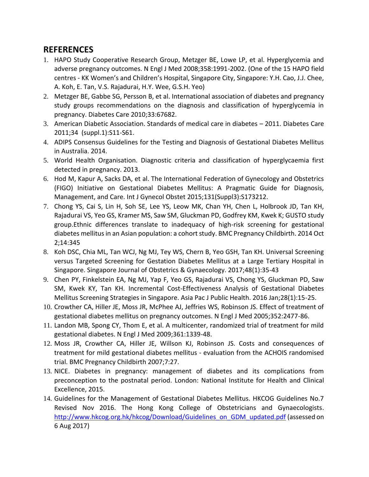# **REFERENCES**

- 1. HAPO Study Cooperative Research Group, Metzger BE, Lowe LP, et al. Hyperglycemia and adverse pregnancy outcomes. N Engl J Med 2008;358:1991-2002. (One of the 15 HAPO field centres - KK Women's and Children's Hospital, Singapore City, Singapore: Y.H. Cao, J.J. Chee, A. Koh, E. Tan, V.S. Rajadurai, H.Y. Wee, G.S.H. Yeo)
- 2. Metzger BE, Gabbe SG, Persson B, et al. International association of diabetes and pregnancy study groups recommendations on the diagnosis and classification of hyperglycemia in pregnancy. Diabetes Care 2010;33:67682.
- 3. American Diabetic Association. Standards of medical care in diabetes 2011. Diabetes Care 2011;34 (suppl.1):S11-S61.
- 4. ADIPS Consensus Guidelines for the Testing and Diagnosis of Gestational Diabetes Mellitus in Australia. 2014.
- 5. World Health Organisation. Diagnostic criteria and classification of hyperglycaemia first detected in pregnancy. 2013.
- 6. Hod M, Kapur A, Sacks DA, et al. The International Federation of Gynecology and Obstetrics (FIGO) Initiative on Gestational Diabetes Mellitus: A Pragmatic Guide for Diagnosis, Management, and Care. Int J Gynecol Obstet 2015;131(Suppl3):S173212.
- 7. Chong YS, Cai S, Lin H, Soh SE, Lee YS, Leow MK, Chan YH, Chen L, Holbrook JD, Tan KH, Rajadurai VS, Yeo GS, Kramer MS, Saw SM, Gluckman PD, Godfrey KM, Kwek K; GUSTO study group.Ethnic differences translate to inadequacy of high-risk screening for gestational diabetes mellitus in an Asian population: a cohort study. BMC Pregnancy Childbirth. 2014 Oct 2;14:345
- 8. Koh DSC, Chia ML, Tan WCJ, Ng MJ, Tey WS, Chern B, Yeo GSH, Tan KH. Universal Screening versus Targeted Screening for Gestation Diabetes Mellitus at a Large Tertiary Hospital in Singapore. Singapore Journal of Obstetrics & Gynaecology. 2017;48(1):35-43
- 9. Chen PY, Finkelstein EA, Ng MJ, Yap F, Yeo GS, Rajadurai VS, Chong YS, Gluckman PD, Saw SM, Kwek KY, Tan KH. Incremental Cost-Effectiveness Analysis of Gestational Diabetes Mellitus Screening Strategies in Singapore. Asia Pac J Public Health. 2016 Jan;28(1):15-25.
- 10. Crowther CA, Hiller JE, Moss JR, McPhee AJ, Jeffries WS, Robinson JS. Effect of treatment of gestational diabetes mellitus on pregnancy outcomes. N Engl J Med 2005;352:2477-86.
- 11. Landon MB, Spong CY, Thom E, et al. A multicenter, randomized trial of treatment for mild gestational diabetes. N Engl J Med 2009;361:1339-48.
- 12. Moss JR, Crowther CA, Hiller JE, Willson KJ, Robinson JS. Costs and consequences of treatment for mild gestational diabetes mellitus - evaluation from the ACHOIS randomised trial. BMC Pregnancy Childbirth 2007;7:27.
- 13. NICE. Diabetes in pregnancy: management of diabetes and its complications from preconception to the postnatal period. London: National Institute for Health and Clinical Excellence, 2015.
- 14. Guidelines for the Management of Gestational Diabetes Mellitus. HKCOG Guidelines No.7 Revised Nov 2016. The Hong Kong College of Obstetricians and Gynaecologists. [http://www.hkcog.org.hk/hkcog/Download/Guidelines\\_on\\_GDM\\_updated.pdf](http://www.hkcog.org.hk/hkcog/Download/Guidelines_on_GDM_updated.pdf) (assessed on 6 Aug 2017)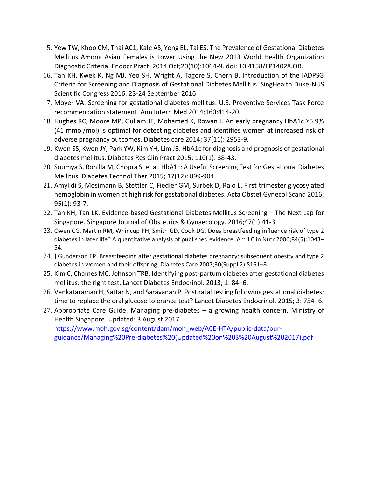- 15. Yew TW, Khoo CM, Thai AC1, Kale AS, Yong EL, Tai ES. The Prevalence of Gestational Diabetes Mellitus Among Asian Females is Lower Using the New 2013 World Health Organization Diagnostic Criteria. Endocr Pract. 2014 Oct;20(10):1064-9. doi: 10.4158/EP14028.OR.
- 16. Tan KH, Kwek K, Ng MJ, Yeo SH, Wright A, Tagore S, Chern B. Introduction of the IADPSG Criteria for Screening and Diagnosis of Gestational Diabetes Mellitus. SingHealth Duke-NUS Scientific Congress 2016. 23-24 September 2016
- 17. Moyer VA. Screening for gestational diabetes mellitus: U.S. Preventive Services Task Force recommendation statement. Ann Intern Med 2014;160:414-20.
- 18. Hughes RC, Moore MP, Gullam JE, Mohamed K, Rowan J. An early pregnancy HbA1c ≥5.9% (41 mmol/mol) is optimal for detecting diabetes and identifies women at increased risk of adverse pregnancy outcomes. Diabetes care 2014; 37(11): 2953-9.
- 19. Kwon SS, Kwon JY, Park YW, Kim YH, Lim JB. HbA1c for diagnosis and prognosis of gestational diabetes mellitus. Diabetes Res Clin Pract 2015; 110(1): 38-43.
- 20. Soumya S, Rohilla M, Chopra S, et al. HbA1c: A Useful Screening Test for Gestational Diabetes Mellitus. Diabetes Technol Ther 2015; 17(12): 899-904.
- 21. Amylidi S, Mosimann B, Stettler C, Fiedler GM, Surbek D, Raio L. First trimester glycosylated hemoglobin in women at high risk for gestational diabetes. Acta Obstet Gynecol Scand 2016; 95(1): 93-7.
- 22. Tan KH, Tan LK. Evidence-based Gestational Diabetes Mellitus Screening The Next Lap for Singapore. Singapore Journal of Obstetrics & Gynaecology. 2016;47(1):41-3
- 23. Owen CG, Martin RM, Whincup PH, Smith GD, Cook DG. Does breastfeeding influence risk of type 2 diabetes in later life? A quantitative analysis of published evidence. Am J Clin Nutr 2006;84(5):1043– 54.
- 24. ] Gunderson EP. Breastfeeding after gestational diabetes pregnancy: subsequent obesity and type 2 diabetes in women and their offspring. Diabetes Care 2007;30(Suppl 2):S161–8.
- 25. Kim C, Chames MC, Johnson TRB. Identifying post-partum diabetes after gestational diabetes mellitus: the right test. Lancet Diabetes Endocrinol. 2013; 1: 84–6.
- 26. Venkataraman H, Sattar N, and Saravanan P. Postnatal testing following gestational diabetes: time to replace the oral glucose tolerance test? Lancet Diabetes Endocrinol. 2015; 3: 754–6.
- 27. Appropriate Care Guide. Managing pre-diabetes a growing health concern. Ministry of Health Singapore. Updated: 3 August 2017 [https://www.moh.gov.sg/content/dam/moh\\_web/ACE-HTA/public-data/our](https://www.moh.gov.sg/content/dam/moh_web/ACE-HTA/public-data/our-guidance/Managing%20Pre-diabetes%20(Updated%20on%203%20August%202017).pdf)[guidance/Managing%20Pre-diabetes%20\(Updated%20on%203%20August%202017\).pdf](https://www.moh.gov.sg/content/dam/moh_web/ACE-HTA/public-data/our-guidance/Managing%20Pre-diabetes%20(Updated%20on%203%20August%202017).pdf)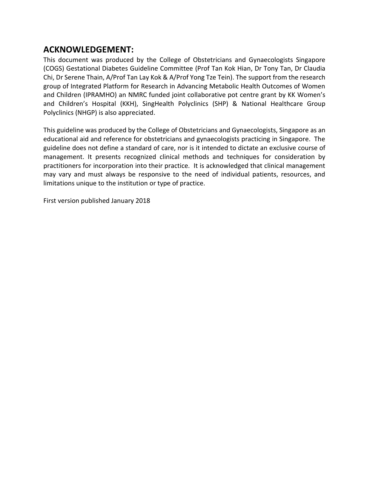### **ACKNOWLEDGEMENT:**

This document was produced by the College of Obstetricians and Gynaecologists Singapore (COGS) Gestational Diabetes Guideline Committee (Prof Tan Kok Hian, Dr Tony Tan, Dr Claudia Chi, Dr Serene Thain, A/Prof Tan Lay Kok & A/Prof Yong Tze Tein). The support from the research group of Integrated Platform for Research in Advancing Metabolic Health Outcomes of Women and Children (IPRAMHO) an NMRC funded joint collaborative pot centre grant by KK Women's and Children's Hospital (KKH), SingHealth Polyclinics (SHP) & National Healthcare Group Polyclinics (NHGP) is also appreciated.

This guideline was produced by the College of Obstetricians and Gynaecologists, Singapore as an educational aid and reference for obstetricians and gynaecologists practicing in Singapore. The guideline does not define a standard of care, nor is it intended to dictate an exclusive course of management. It presents recognized clinical methods and techniques for consideration by practitioners for incorporation into their practice. It is acknowledged that clinical management may vary and must always be responsive to the need of individual patients, resources, and limitations unique to the institution or type of practice.

First version published January 2018